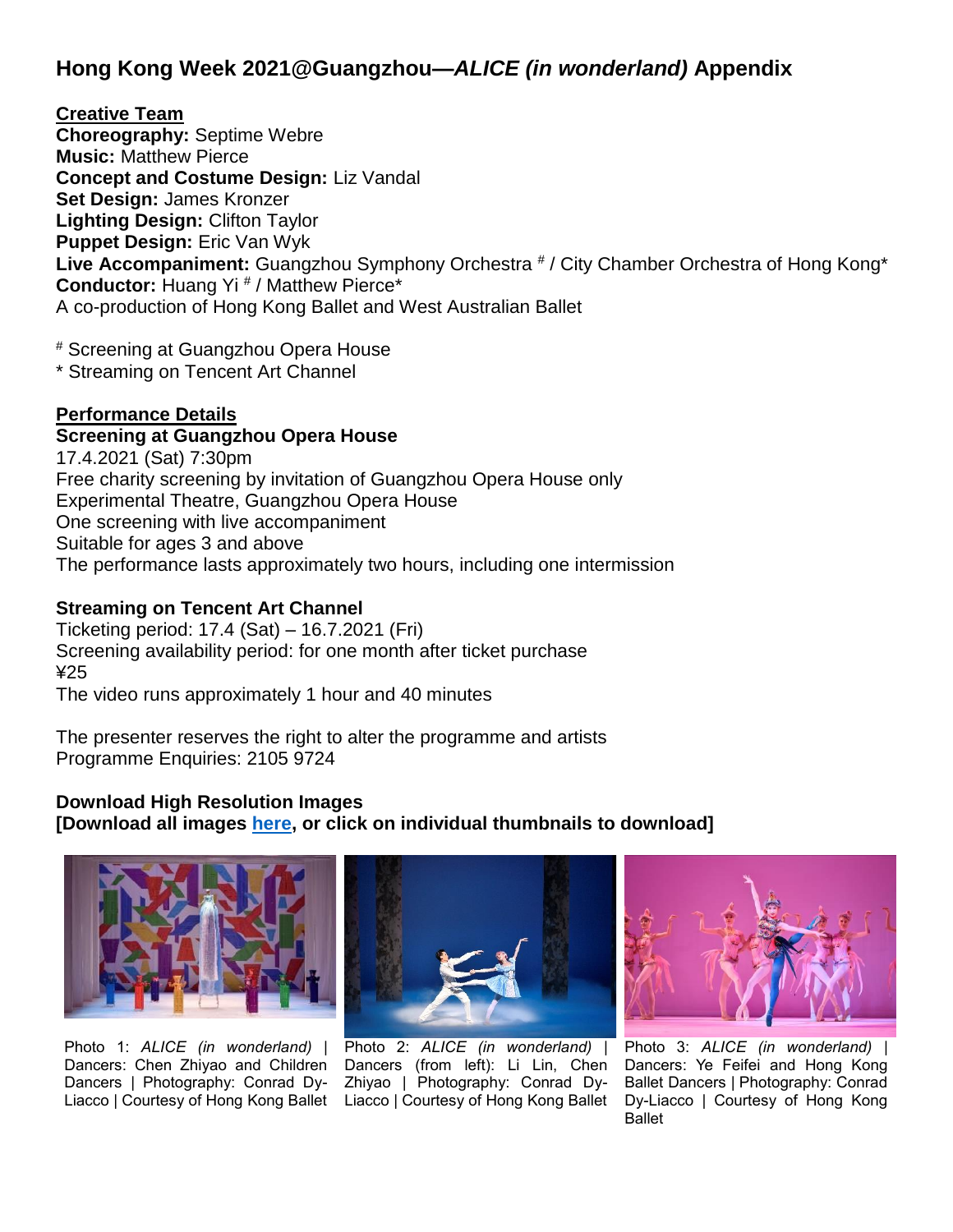# **Hong Kong Week 2021@Guangzhou—***ALICE (in wonderland)* **Appendix**

**Creative Team**

**Choreography:** Septime Webre **Music:** Matthew Pierce **Concept and Costume Design:** Liz Vandal **Set Design:** James Kronzer **Lighting Design:** Clifton Taylor **Puppet Design:** Eric Van Wyk Live Accompaniment: Guangzhou Symphony Orchestra # / City Chamber Orchestra of Hong Kong\* **Conductor:** Huang Yi # / Matthew Pierce\* A co-production of Hong Kong Ballet and West Australian Ballet

# Screening at Guangzhou Opera House

\* Streaming on Tencent Art Channel

## **Performance Details**

#### **Screening at Guangzhou Opera House**

17.4.2021 (Sat) 7:30pm Free charity screening by invitation of Guangzhou Opera House only Experimental Theatre, Guangzhou Opera House One screening with live accompaniment Suitable for ages 3 and above The performance lasts approximately two hours, including one intermission

### **Streaming on Tencent Art Channel**

Ticketing period: 17.4 (Sat) – 16.7.2021 (Fri) Screening availability period: for one month after ticket purchase ¥25

The video runs approximately 1 hour and 40 minutes

The presenter reserves the right to alter the programme and artists Programme Enquiries: 2105 9724

#### **Download High Resolution Images**

**[Download all images [here,](http://www.hkballet.com/download/pressRelease/photos/GZTour21/GZTour21.zip) or click on individual thumbnails to download]**



Photo 1: *ALICE (in wonderland)* | Dancers: Chen Zhiyao and Children Dancers | Photography: Conrad Dy-Liacco | Courtesy of Hong Kong Ballet Liacco | Courtesy of Hong Kong Ballet



Photo 2: *ALICE (in wonderland)* | Dancers (from left): Li Lin, Chen Zhiyao | Photography: Conrad Dy-



Photo 3: *ALICE (in wonderland)* | Dancers: Ye Feifei and Hong Kong Ballet Dancers | Photography: Conrad Dy-Liacco | Courtesy of Hong Kong Ballet